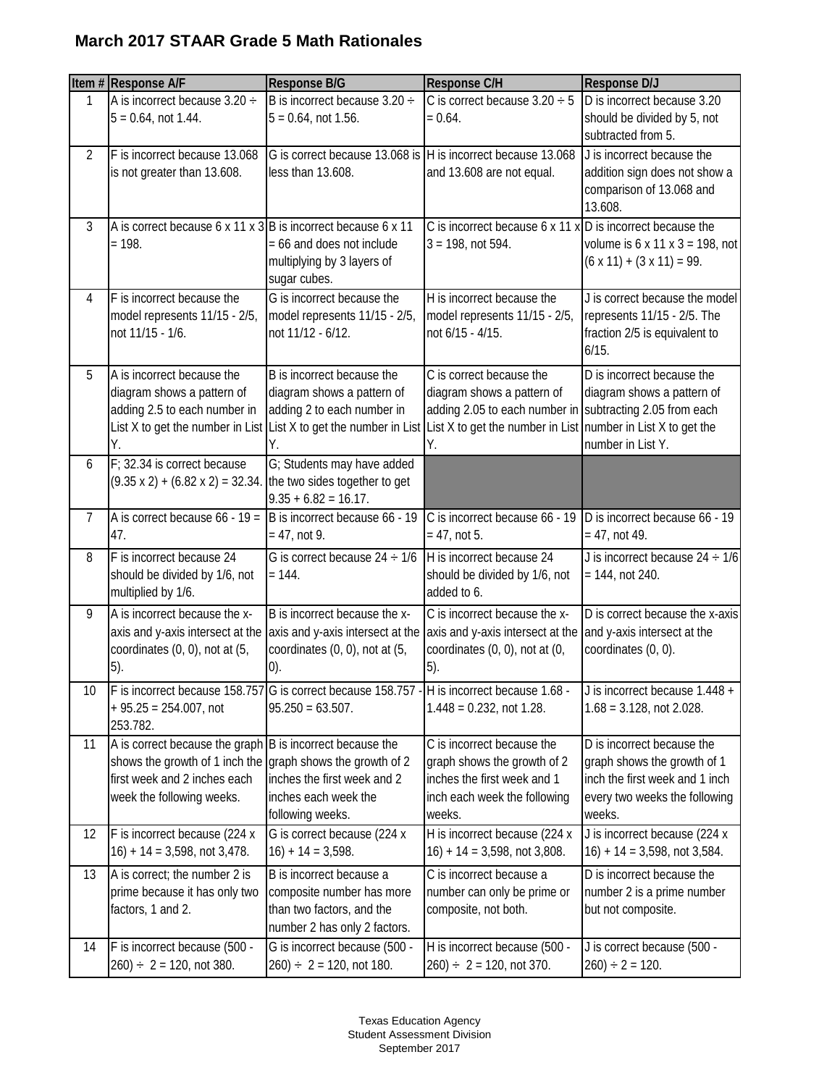## **March 2017 STAAR Grade 5 Math Rationales**

|                | Item # Response A/F                                                                                                                                                                  | <b>Response B/G</b>                                                                                                              | Response C/H                                                                                                                                                 | <b>Response D/J</b>                                                                                                                    |
|----------------|--------------------------------------------------------------------------------------------------------------------------------------------------------------------------------------|----------------------------------------------------------------------------------------------------------------------------------|--------------------------------------------------------------------------------------------------------------------------------------------------------------|----------------------------------------------------------------------------------------------------------------------------------------|
| 1              | A is incorrect because $3.20 \div$<br>$5 = 0.64$ , not 1.44.                                                                                                                         | B is incorrect because 3.20 ÷<br>$5 = 0.64$ , not 1.56.                                                                          | C is correct because $3.20 \div 5$<br>$= 0.64.$                                                                                                              | D is incorrect because 3.20<br>should be divided by 5, not<br>subtracted from 5.                                                       |
| $\overline{2}$ | F is incorrect because 13.068<br>is not greater than 13.608.                                                                                                                         | G is correct because 13.068 is H is incorrect because 13.068<br>less than 13.608.                                                | and 13.608 are not equal.                                                                                                                                    | J is incorrect because the<br>addition sign does not show a<br>comparison of 13.068 and<br>13.608.                                     |
| 3              | A is correct because 6 x 11 x 3 B is incorrect because 6 x 11<br>$= 198.$                                                                                                            | = 66 and does not include<br>multiplying by 3 layers of<br>sugar cubes.                                                          | C is incorrect because 6 x 11 x D is incorrect because the<br>$3 = 198$ , not 594.                                                                           | volume is $6 \times 11 \times 3 = 198$ , not<br>$(6 \times 11) + (3 \times 11) = 99.$                                                  |
| 4              | F is incorrect because the<br>model represents 11/15 - 2/5,<br>not 11/15 - 1/6.                                                                                                      | G is incorrect because the<br>model represents 11/15 - 2/5,<br>not 11/12 - 6/12.                                                 | H is incorrect because the<br>model represents 11/15 - 2/5,<br>not 6/15 - 4/15.                                                                              | J is correct because the model<br>represents 11/15 - 2/5. The<br>fraction 2/5 is equivalent to<br>6/15.                                |
| 5              | A is incorrect because the<br>diagram shows a pattern of<br>adding 2.5 to each number in<br>List X to get the number in List<br>Υ.                                                   | B is incorrect because the<br>diagram shows a pattern of<br>adding 2 to each number in<br>List X to get the number in List<br>Υ. | C is correct because the<br>diagram shows a pattern of<br>adding 2.05 to each number in subtracting 2.05 from each<br>List X to get the number in List<br>Υ. | D is incorrect because the<br>diagram shows a pattern of<br>number in List X to get the<br>number in List Y.                           |
| 6              | F; 32.34 is correct because<br>$(9.35 \times 2) + (6.82 \times 2) = 32.34$ . the two sides together to get                                                                           | G; Students may have added<br>$9.35 + 6.82 = 16.17$ .                                                                            |                                                                                                                                                              |                                                                                                                                        |
| 7              | A is correct because $66 - 19 =$<br>47.                                                                                                                                              | B is incorrect because 66 - 19<br>$= 47$ , not 9.                                                                                | C is incorrect because 66 - 19<br>$= 47$ , not 5.                                                                                                            | D is incorrect because 66 - 19<br>$= 47$ , not 49.                                                                                     |
| 8              | F is incorrect because 24<br>should be divided by 1/6, not<br>multiplied by 1/6.                                                                                                     | G is correct because $24 \div 1/6$<br>$= 144.$                                                                                   | H is incorrect because 24<br>should be divided by 1/6, not<br>added to 6.                                                                                    | J is incorrect because $24 \div 1/6$<br>$= 144$ , not 240.                                                                             |
| 9              | A is incorrect because the x-<br>axis and y-axis intersect at the<br>coordinates (0, 0), not at (5,<br>5).                                                                           | B is incorrect because the x-<br>axis and y-axis intersect at the<br>coordinates (0, 0), not at (5,<br>(0).                      | C is incorrect because the x-<br>axis and y-axis intersect at the<br>coordinates (0, 0), not at (0,<br>5).                                                   | D is correct because the x-axis<br>and y-axis intersect at the<br>coordinates (0, 0).                                                  |
| 10             | $+95.25 = 254.007$ , not<br>253.782.                                                                                                                                                 | F is incorrect because 158.757 G is correct because 158.757 - H is incorrect because 1.68 -<br>$95.250 = 63.507.$                | $1.448 = 0.232$ , not 1.28.                                                                                                                                  | J is incorrect because 1.448 +<br>$1.68 = 3.128$ , not 2.028.                                                                          |
| 11             | A is correct because the graph B is incorrect because the<br>shows the growth of 1 inch the graph shows the growth of 2<br>first week and 2 inches each<br>week the following weeks. | inches the first week and 2<br>inches each week the<br>following weeks.                                                          | C is incorrect because the<br>graph shows the growth of 2<br>inches the first week and 1<br>inch each week the following<br>weeks.                           | D is incorrect because the<br>graph shows the growth of 1<br>inch the first week and 1 inch<br>every two weeks the following<br>weeks. |
| 12             | F is incorrect because (224 x<br>$16$ ) + 14 = 3,598, not 3,478.                                                                                                                     | G is correct because (224 x<br>$16$ ) + 14 = 3,598.                                                                              | H is incorrect because (224 x<br>$16$ ) + 14 = 3,598, not 3,808.                                                                                             | J is incorrect because (224 x<br>$16$ ) + 14 = 3,598, not 3,584.                                                                       |
| 13             | A is correct; the number 2 is<br>prime because it has only two<br>factors, 1 and 2.                                                                                                  | B is incorrect because a<br>composite number has more<br>than two factors, and the<br>number 2 has only 2 factors.               | C is incorrect because a<br>number can only be prime or<br>composite, not both.                                                                              | D is incorrect because the<br>number 2 is a prime number<br>but not composite.                                                         |
| 14             | F is incorrect because (500 -<br>$260 \div 2 = 120$ , not 380.                                                                                                                       | G is incorrect because (500 -<br>$(260) \div 2 = 120$ , not 180.                                                                 | H is incorrect because (500 -<br>$260 \div 2 = 120$ , not 370.                                                                                               | J is correct because (500 -<br>$260$ ) ÷ 2 = 120.                                                                                      |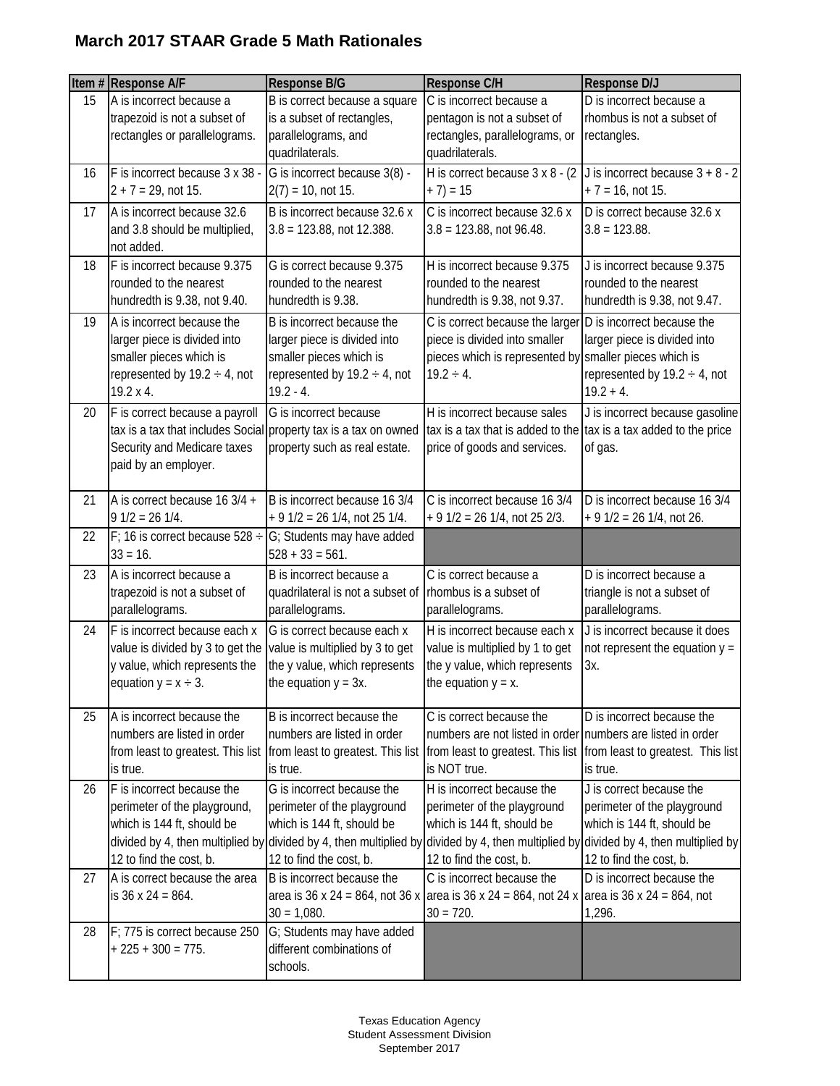## **March 2017 STAAR Grade 5 Math Rationales**

|    | Item # Response A/F                                                                                                                          | Response B/G                                                                                                                               | Response C/H                                                                                                                                                            | <b>Response D/J</b>                                                                                                                                                                                                                                     |
|----|----------------------------------------------------------------------------------------------------------------------------------------------|--------------------------------------------------------------------------------------------------------------------------------------------|-------------------------------------------------------------------------------------------------------------------------------------------------------------------------|---------------------------------------------------------------------------------------------------------------------------------------------------------------------------------------------------------------------------------------------------------|
| 15 | A is incorrect because a<br>trapezoid is not a subset of<br>rectangles or parallelograms.                                                    | B is correct because a square<br>is a subset of rectangles,<br>parallelograms, and<br>quadrilaterals.                                      | C is incorrect because a<br>pentagon is not a subset of<br>rectangles, parallelograms, or<br>quadrilaterals.                                                            | D is incorrect because a<br>rhombus is not a subset of<br>rectangles.                                                                                                                                                                                   |
| 16 | F is incorrect because 3 x 38 -<br>$2 + 7 = 29$ , not 15.                                                                                    | G is incorrect because 3(8) -<br>$2(7) = 10$ , not 15.                                                                                     | H is correct because 3 x 8 - (2)<br>$+ 7) = 15$                                                                                                                         | J is incorrect because $3 + 8 - 2$<br>$+7 = 16$ , not 15.                                                                                                                                                                                               |
| 17 | A is incorrect because 32.6<br>and 3.8 should be multiplied,<br>not added.                                                                   | B is incorrect because 32.6 x<br>$3.8 = 123.88$ , not 12.388.                                                                              | C is incorrect because 32.6 x<br>$3.8 = 123.88$ , not 96.48.                                                                                                            | D is correct because 32.6 x<br>$3.8 = 123.88.$                                                                                                                                                                                                          |
| 18 | F is incorrect because 9.375<br>rounded to the nearest<br>hundredth is 9.38, not 9.40.                                                       | G is correct because 9.375<br>rounded to the nearest<br>hundredth is 9.38.                                                                 | H is incorrect because 9.375<br>rounded to the nearest<br>hundredth is 9.38, not 9.37.                                                                                  | J is incorrect because 9.375<br>rounded to the nearest<br>hundredth is 9.38, not 9.47.                                                                                                                                                                  |
| 19 | A is incorrect because the<br>larger piece is divided into<br>smaller pieces which is<br>represented by $19.2 \div 4$ , not<br>19.2 x 4.     | B is incorrect because the<br>larger piece is divided into<br>smaller pieces which is<br>represented by $19.2 \div 4$ , not<br>$19.2 - 4.$ | C is correct because the larger D is incorrect because the<br>piece is divided into smaller<br>pieces which is represented by smaller pieces which is<br>$19.2 \div 4.$ | larger piece is divided into<br>represented by $19.2 \div 4$ , not<br>$19.2 + 4.$                                                                                                                                                                       |
| 20 | F is correct because a payroll<br>Security and Medicare taxes<br>paid by an employer.                                                        | G is incorrect because<br>tax is a tax that includes Social property tax is a tax on owned<br>property such as real estate.                | H is incorrect because sales<br>tax is a tax that is added to the tax is a tax added to the price<br>price of goods and services.                                       | J is incorrect because gasoline<br>of gas.                                                                                                                                                                                                              |
| 21 | A is correct because 16 3/4 +<br>$91/2 = 261/4$ .                                                                                            | B is incorrect because 16 3/4<br>$+91/2 = 261/4$ , not 25 1/4.                                                                             | C is incorrect because 16 3/4<br>$+9$ 1/2 = 26 1/4, not 25 2/3.                                                                                                         | D is incorrect because 16 3/4<br>$+9$ 1/2 = 26 1/4, not 26.                                                                                                                                                                                             |
| 22 | F; 16 is correct because $528 \div$<br>$33 = 16.$                                                                                            | G; Students may have added<br>$528 + 33 = 561.$                                                                                            |                                                                                                                                                                         |                                                                                                                                                                                                                                                         |
| 23 | A is incorrect because a<br>trapezoid is not a subset of<br>parallelograms.                                                                  | B is incorrect because a<br>quadrilateral is not a subset of<br>parallelograms.                                                            | C is correct because a<br>rhombus is a subset of<br>parallelograms.                                                                                                     | D is incorrect because a<br>triangle is not a subset of<br>parallelograms.                                                                                                                                                                              |
| 24 | F is incorrect because each x<br>value is divided by 3 to get the<br>y value, which represents the<br>equation $y = x \div 3$ .              | G is correct because each x<br>value is multiplied by 3 to get<br>the y value, which represents<br>the equation $y = 3x$ .                 | H is incorrect because each x<br>value is multiplied by 1 to get<br>the y value, which represents<br>the equation $y = x$ .                                             | J is incorrect because it does<br>not represent the equation $y =$<br>Зχ.                                                                                                                                                                               |
| 25 | A is incorrect because the<br>numbers are listed in order<br>from least to greatest. This list from least to greatest. This list<br>is true. | B is incorrect because the<br>numbers are listed in order<br>is true.                                                                      | C is correct because the<br>numbers are not listed in order numbers are listed in order<br>is NOT true.                                                                 | D is incorrect because the<br>from least to greatest. This list from least to greatest. This list<br>is true.                                                                                                                                           |
| 26 | F is incorrect because the<br>perimeter of the playground,<br>which is 144 ft, should be<br>12 to find the cost, b.                          | G is incorrect because the<br>perimeter of the playground<br>which is 144 ft, should be<br>12 to find the cost, b.                         | H is incorrect because the<br>perimeter of the playground<br>which is 144 ft, should be<br>12 to find the cost, b.                                                      | J is correct because the<br>perimeter of the playground<br>which is 144 ft, should be<br>divided by 4, then multiplied by divided by 4, then multiplied by divided by 4, then multiplied by divided by 4, then multiplied by<br>12 to find the cost, b. |
| 27 | A is correct because the area<br>is $36 \times 24 = 864$ .                                                                                   | B is incorrect because the<br>$30 = 1,080.$                                                                                                | C is incorrect because the<br>area is 36 x 24 = 864, not 36 x area is 36 x 24 = 864, not 24 x area is 36 x 24 = 864, not<br>$30 = 720.$                                 | D is incorrect because the<br>1,296.                                                                                                                                                                                                                    |
| 28 | F; 775 is correct because 250<br>$+225 + 300 = 775.$                                                                                         | G; Students may have added<br>different combinations of<br>schools.                                                                        |                                                                                                                                                                         |                                                                                                                                                                                                                                                         |